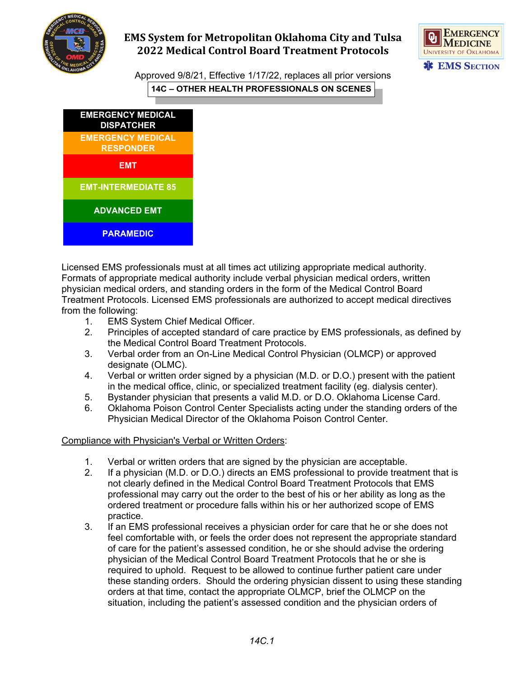

## **EMS System for Metropolitan Oklahoma City and Tulsa 2022 Medical Control Board Treatment Protocols**



Approved 9/8/21, Effective 1/17/22, replaces all prior versions **14C – OTHER HEALTH PROFESSIONALS ON SCENES**



Licensed EMS professionals must at all times act utilizing appropriate medical authority. Formats of appropriate medical authority include verbal physician medical orders, written physician medical orders, and standing orders in the form of the Medical Control Board Treatment Protocols. Licensed EMS professionals are authorized to accept medical directives from the following:

- 1. EMS System Chief Medical Officer.
- 2. Principles of accepted standard of care practice by EMS professionals, as defined by the Medical Control Board Treatment Protocols.
- 3. Verbal order from an On-Line Medical Control Physician (OLMCP) or approved designate (OLMC).
- 4. Verbal or written order signed by a physician (M.D. or D.O.) present with the patient in the medical office, clinic, or specialized treatment facility (eg. dialysis center).
- 5. Bystander physician that presents a valid M.D. or D.O. Oklahoma License Card.
- 6. Oklahoma Poison Control Center Specialists acting under the standing orders of the Physician Medical Director of the Oklahoma Poison Control Center.

## Compliance with Physician's Verbal or Written Orders:

- 1. Verbal or written orders that are signed by the physician are acceptable.
- 2. If a physician (M.D. or D.O.) directs an EMS professional to provide treatment that is not clearly defined in the Medical Control Board Treatment Protocols that EMS professional may carry out the order to the best of his or her ability as long as the ordered treatment or procedure falls within his or her authorized scope of EMS practice.
- 3. If an EMS professional receives a physician order for care that he or she does not feel comfortable with, or feels the order does not represent the appropriate standard of care for the patient's assessed condition, he or she should advise the ordering physician of the Medical Control Board Treatment Protocols that he or she is required to uphold. Request to be allowed to continue further patient care under these standing orders. Should the ordering physician dissent to using these standing orders at that time, contact the appropriate OLMCP, brief the OLMCP on the situation, including the patient's assessed condition and the physician orders of